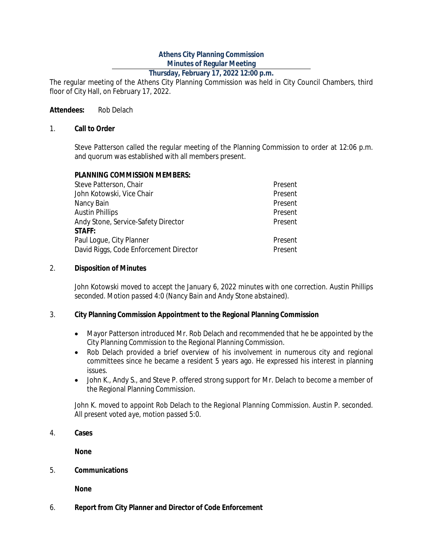## **Athens City Planning Commission Minutes of Regular Meeting**

## **Thursday, February 17, 2022 12:00 p.m.**

The regular meeting of the Athens City Planning Commission was held in City Council Chambers, third floor of City Hall, on February 17, 2022.

### **Attendees:** Rob Delach

#### 1. **Call to Order**

Steve Patterson called the regular meeting of the Planning Commission to order at 12:06 p.m. and quorum was established with all members present.

### **PLANNING COMMISSION MEMBERS:**

| Steve Patterson, Chair                 | Present |
|----------------------------------------|---------|
| John Kotowski, Vice Chair              | Present |
| Nancy Bain                             | Present |
| <b>Austin Phillips</b>                 | Present |
| Andy Stone, Service-Safety Director    | Present |
| <b>STAFF:</b>                          |         |
| Paul Loque, City Planner               | Present |
| David Riggs, Code Enforcement Director | Present |

### 2. **Disposition of Minutes**

*John Kotowski moved to accept the January 6, 2022 minutes with one correction. Austin Phillips seconded. Motion passed 4:0 (Nancy Bain and Andy Stone abstained).*

### 3. **City Planning Commission Appointment to the Regional Planning Commission**

- Mayor Patterson introduced Mr. Rob Delach and recommended that he be appointed by the City Planning Commission to the Regional Planning Commission.
- Rob Delach provided a brief overview of his involvement in numerous city and regional committees since he became a resident 5 years ago. He expressed his interest in planning issues.
- John K., Andy S., and Steve P. offered strong support for Mr. Delach to become a member of the Regional Planning Commission.

*John K. moved to appoint Rob Delach to the Regional Planning Commission. Austin P. seconded. All present voted aye, motion passed 5:0.*

4. **Cases**

**None**

5. **Communications**

**None**

6. **Report from City Planner and Director of Code Enforcement**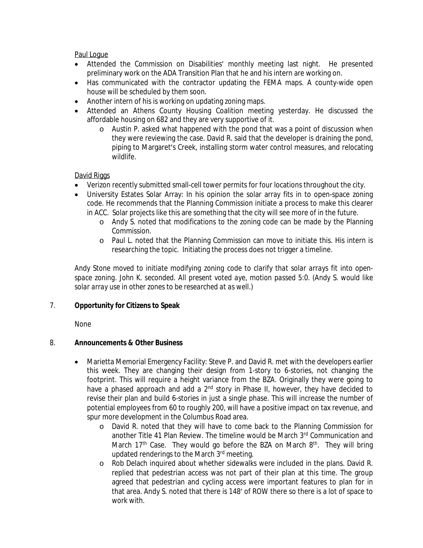Paul Logue

- Attended the Commission on Disabilities' monthly meeting last night. He presented preliminary work on the ADA Transition Plan that he and his intern are working on.
- Has communicated with the contractor updating the FEMA maps. A county-wide open house will be scheduled by them soon.
- Another intern of his is working on updating zoning maps.
- Attended an Athens County Housing Coalition meeting yesterday. He discussed the affordable housing on 682 and they are very supportive of it.
	- o Austin P. asked what happened with the pond that was a point of discussion when they were reviewing the case. David R. said that the developer is draining the pond, piping to Margaret's Creek, installing storm water control measures, and relocating wildlife.

## David Riggs

- Verizon recently submitted small-cell tower permits for four locations throughout the city.
- University Estates Solar Array: In his opinion the solar array fits in to open-space zoning code. He recommends that the Planning Commission initiate a process to make this clearer in ACC. Solar projects like this are something that the city will see more of in the future.
	- o Andy S. noted that modifications to the zoning code can be made by the Planning Commission.
	- o Paul L. noted that the Planning Commission can move to initiate this. His intern is researching the topic. Initiating the process does not trigger a timeline.

*Andy Stone moved to initiate modifying zoning code to clarify that solar arrays fit into openspace zoning. John K. seconded. All present voted aye, motion passed 5:0. (Andy S. would like solar array use in other zones to be researched at as well.)*

## 7. **Opportunity for Citizens to Speak**

None

## 8. **Announcements & Other Business**

- Marietta Memorial Emergency Facility: Steve P. and David R. met with the developers earlier this week. They are changing their design from 1-story to 6-stories, not changing the footprint. This will require a height variance from the BZA. Originally they were going to have a phased approach and add a 2<sup>nd</sup> story in Phase II, however, they have decided to revise their plan and build 6-stories in just a single phase. This will increase the number of potential employees from 60 to roughly 200, will have a positive impact on tax revenue, and spur more development in the Columbus Road area.
	- o David R. noted that they will have to come back to the Planning Commission for another Title 41 Plan Review. The timeline would be March 3 rd Communication and March 17<sup>th</sup> Case. They would go before the BZA on March 8<sup>th</sup>. They will bring updated renderings to the March 3rd meeting.
	- o Rob Delach inquired about whether sidewalks were included in the plans. David R. replied that pedestrian access was not part of their plan at this time. The group agreed that pedestrian and cycling access were important features to plan for in that area. Andy S. noted that there is 148' of ROW there so there is a lot of space to work with.